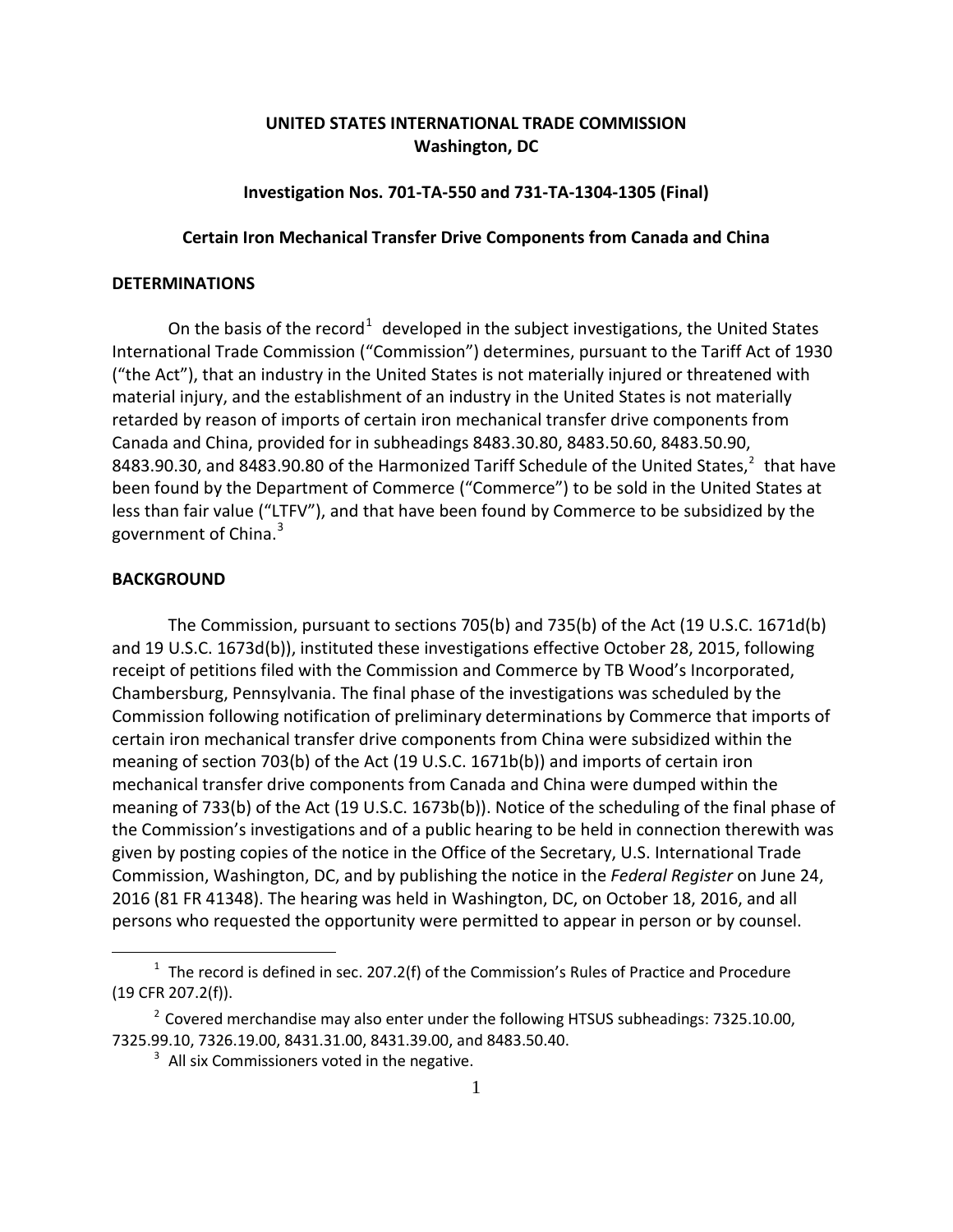# **UNITED STATES INTERNATIONAL TRADE COMMISSION Washington, DC**

### **Investigation Nos. 701-TA-550 and 731-TA-1304-1305 (Final)**

### **Certain Iron Mechanical Transfer Drive Components from Canada and China**

## **DETERMINATIONS**

On the basis of the record<sup>[1](#page-0-0)</sup> developed in the subject investigations, the United States International Trade Commission ("Commission") determines, pursuant to the Tariff Act of 1930 ("the Act"), that an industry in the United States is not materially injured or threatened with material injury, and the establishment of an industry in the United States is not materially retarded by reason of imports of certain iron mechanical transfer drive components from Canada and China, provided for in subheadings 8483.30.80, 8483.50.60, 8483.50.90, 8483.90.30, and 8483.90.80 of the Harmonized Tariff Schedule of the United States,<sup>[2](#page-0-1)</sup> that have been found by the Department of Commerce ("Commerce") to be sold in the United States at less than fair value ("LTFV"), and that have been found by Commerce to be subsidized by the government of China. [3](#page-0-2)

#### **BACKGROUND**

 $\overline{a}$ 

The Commission, pursuant to sections 705(b) and 735(b) of the Act (19 U.S.C. 1671d(b) and 19 U.S.C. 1673d(b)), instituted these investigations effective October 28, 2015, following receipt of petitions filed with the Commission and Commerce by TB Wood's Incorporated, Chambersburg, Pennsylvania. The final phase of the investigations was scheduled by the Commission following notification of preliminary determinations by Commerce that imports of certain iron mechanical transfer drive components from China were subsidized within the meaning of section 703(b) of the Act (19 U.S.C. 1671b(b)) and imports of certain iron mechanical transfer drive components from Canada and China were dumped within the meaning of 733(b) of the Act (19 U.S.C. 1673b(b)). Notice of the scheduling of the final phase of the Commission's investigations and of a public hearing to be held in connection therewith was given by posting copies of the notice in the Office of the Secretary, U.S. International Trade Commission, Washington, DC, and by publishing the notice in the *Federal Register* on June 24, 2016 (81 FR 41348). The hearing was held in Washington, DC, on October 18, 2016, and all persons who requested the opportunity were permitted to appear in person or by counsel.

<span id="page-0-0"></span> $1$  The record is defined in sec. 207.2(f) of the Commission's Rules of Practice and Procedure (19 CFR 207.2(f)).

<span id="page-0-2"></span><span id="page-0-1"></span> $2^{2}$  Covered merchandise may also enter under the following HTSUS subheadings: 7325.10.00, 7325.99.10, 7326.19.00, 8431.31.00, 8431.39.00, and 8483.50.40.

 $3$  All six Commissioners voted in the negative.